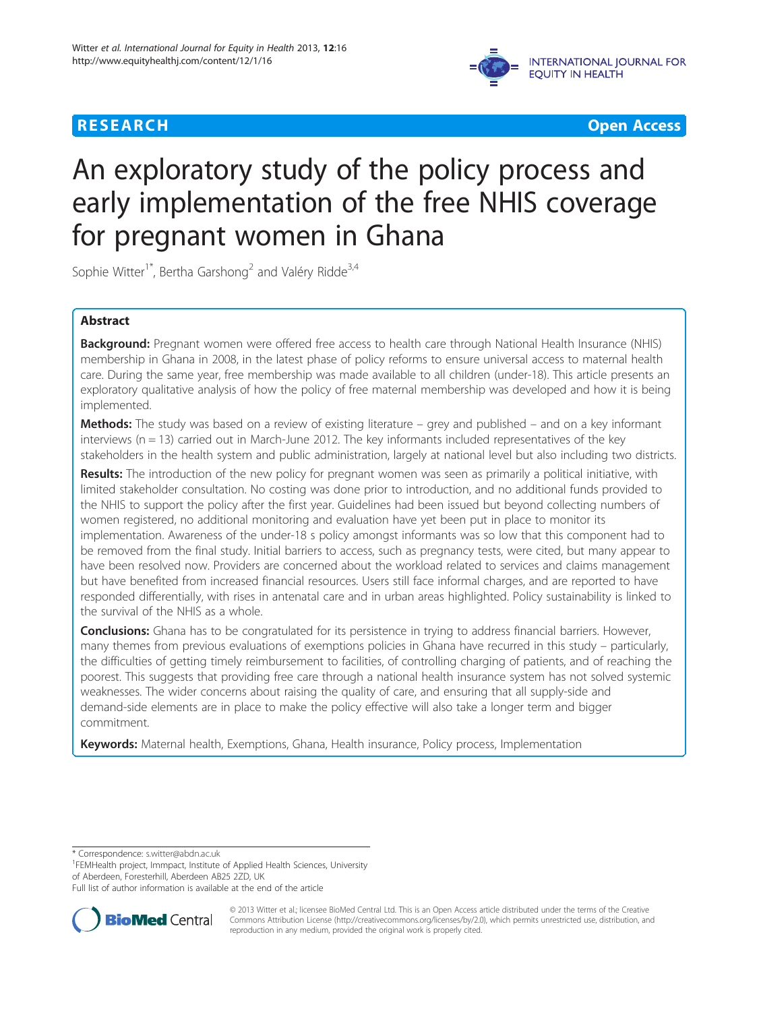

**RESEARCH CHE Open Access** 

# An exploratory study of the policy process and early implementation of the free NHIS coverage for pregnant women in Ghana

Sophie Witter<sup>1\*</sup>, Bertha Garshong<sup>2</sup> and Valéry Ridde<sup>3,4</sup>

# Abstract

Background: Pregnant women were offered free access to health care through National Health Insurance (NHIS) membership in Ghana in 2008, in the latest phase of policy reforms to ensure universal access to maternal health care. During the same year, free membership was made available to all children (under-18). This article presents an exploratory qualitative analysis of how the policy of free maternal membership was developed and how it is being implemented.

**Methods:** The study was based on a review of existing literature – grey and published – and on a key informant interviews (n = 13) carried out in March-June 2012. The key informants included representatives of the key stakeholders in the health system and public administration, largely at national level but also including two districts.

Results: The introduction of the new policy for pregnant women was seen as primarily a political initiative, with limited stakeholder consultation. No costing was done prior to introduction, and no additional funds provided to the NHIS to support the policy after the first year. Guidelines had been issued but beyond collecting numbers of women registered, no additional monitoring and evaluation have yet been put in place to monitor its implementation. Awareness of the under-18 s policy amongst informants was so low that this component had to be removed from the final study. Initial barriers to access, such as pregnancy tests, were cited, but many appear to have been resolved now. Providers are concerned about the workload related to services and claims management but have benefited from increased financial resources. Users still face informal charges, and are reported to have responded differentially, with rises in antenatal care and in urban areas highlighted. Policy sustainability is linked to the survival of the NHIS as a whole.

Conclusions: Ghana has to be congratulated for its persistence in trying to address financial barriers. However, many themes from previous evaluations of exemptions policies in Ghana have recurred in this study – particularly, the difficulties of getting timely reimbursement to facilities, of controlling charging of patients, and of reaching the poorest. This suggests that providing free care through a national health insurance system has not solved systemic weaknesses. The wider concerns about raising the quality of care, and ensuring that all supply-side and demand-side elements are in place to make the policy effective will also take a longer term and bigger commitment.

Keywords: Maternal health, Exemptions, Ghana, Health insurance, Policy process, Implementation

\* Correspondence: [s.witter@abdn.ac.uk](mailto:s.witter@abdn.ac.uk) <sup>1</sup>

<sup>1</sup>FEMHealth project, Immpact, Institute of Applied Health Sciences, University of Aberdeen, Foresterhill, Aberdeen AB25 2ZD, UK

Full list of author information is available at the end of the article



© 2013 Witter et al.; licensee BioMed Central Ltd. This is an Open Access article distributed under the terms of the Creative Commons Attribution License [\(http://creativecommons.org/licenses/by/2.0\)](http://creativecommons.org/licenses/by/2.0), which permits unrestricted use, distribution, and reproduction in any medium, provided the original work is properly cited.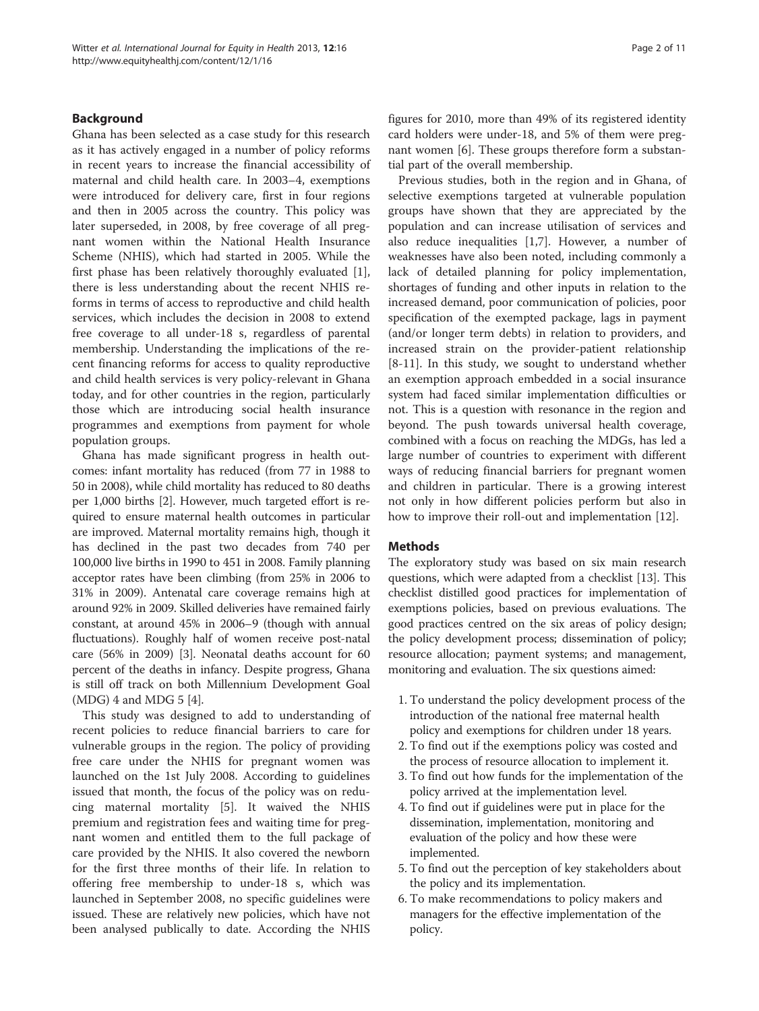# Background

Ghana has been selected as a case study for this research as it has actively engaged in a number of policy reforms in recent years to increase the financial accessibility of maternal and child health care. In 2003–4, exemptions were introduced for delivery care, first in four regions and then in 2005 across the country. This policy was later superseded, in 2008, by free coverage of all pregnant women within the National Health Insurance Scheme (NHIS), which had started in 2005. While the first phase has been relatively thoroughly evaluated [\[1](#page-10-0)], there is less understanding about the recent NHIS reforms in terms of access to reproductive and child health services, which includes the decision in 2008 to extend free coverage to all under-18 s, regardless of parental membership. Understanding the implications of the recent financing reforms for access to quality reproductive and child health services is very policy-relevant in Ghana today, and for other countries in the region, particularly those which are introducing social health insurance programmes and exemptions from payment for whole population groups.

Ghana has made significant progress in health outcomes: infant mortality has reduced (from 77 in 1988 to 50 in 2008), while child mortality has reduced to 80 deaths per 1,000 births [[2\]](#page-10-0). However, much targeted effort is required to ensure maternal health outcomes in particular are improved. Maternal mortality remains high, though it has declined in the past two decades from 740 per 100,000 live births in 1990 to 451 in 2008. Family planning acceptor rates have been climbing (from 25% in 2006 to 31% in 2009). Antenatal care coverage remains high at around 92% in 2009. Skilled deliveries have remained fairly constant, at around 45% in 2006–9 (though with annual fluctuations). Roughly half of women receive post-natal care (56% in 2009) [[3\]](#page-10-0). Neonatal deaths account for 60 percent of the deaths in infancy. Despite progress, Ghana is still off track on both Millennium Development Goal (MDG) 4 and MDG 5 [\[4\]](#page-10-0).

This study was designed to add to understanding of recent policies to reduce financial barriers to care for vulnerable groups in the region. The policy of providing free care under the NHIS for pregnant women was launched on the 1st July 2008. According to guidelines issued that month, the focus of the policy was on reducing maternal mortality [[5\]](#page-10-0). It waived the NHIS premium and registration fees and waiting time for pregnant women and entitled them to the full package of care provided by the NHIS. It also covered the newborn for the first three months of their life. In relation to offering free membership to under-18 s, which was launched in September 2008, no specific guidelines were issued. These are relatively new policies, which have not been analysed publically to date. According the NHIS figures for 2010, more than 49% of its registered identity card holders were under-18, and 5% of them were pregnant women [\[6](#page-10-0)]. These groups therefore form a substantial part of the overall membership.

Previous studies, both in the region and in Ghana, of selective exemptions targeted at vulnerable population groups have shown that they are appreciated by the population and can increase utilisation of services and also reduce inequalities [\[1,7](#page-10-0)]. However, a number of weaknesses have also been noted, including commonly a lack of detailed planning for policy implementation, shortages of funding and other inputs in relation to the increased demand, poor communication of policies, poor specification of the exempted package, lags in payment (and/or longer term debts) in relation to providers, and increased strain on the provider-patient relationship [[8-11](#page-10-0)]. In this study, we sought to understand whether an exemption approach embedded in a social insurance system had faced similar implementation difficulties or not. This is a question with resonance in the region and beyond. The push towards universal health coverage, combined with a focus on reaching the MDGs, has led a large number of countries to experiment with different ways of reducing financial barriers for pregnant women and children in particular. There is a growing interest not only in how different policies perform but also in how to improve their roll-out and implementation [[12](#page-10-0)].

#### **Methods**

The exploratory study was based on six main research questions, which were adapted from a checklist [[13\]](#page-10-0). This checklist distilled good practices for implementation of exemptions policies, based on previous evaluations. The good practices centred on the six areas of policy design; the policy development process; dissemination of policy; resource allocation; payment systems; and management, monitoring and evaluation. The six questions aimed:

- 1. To understand the policy development process of the introduction of the national free maternal health policy and exemptions for children under 18 years.
- 2. To find out if the exemptions policy was costed and the process of resource allocation to implement it.
- 3. To find out how funds for the implementation of the policy arrived at the implementation level.
- 4. To find out if guidelines were put in place for the dissemination, implementation, monitoring and evaluation of the policy and how these were implemented.
- 5. To find out the perception of key stakeholders about the policy and its implementation.
- 6. To make recommendations to policy makers and managers for the effective implementation of the policy.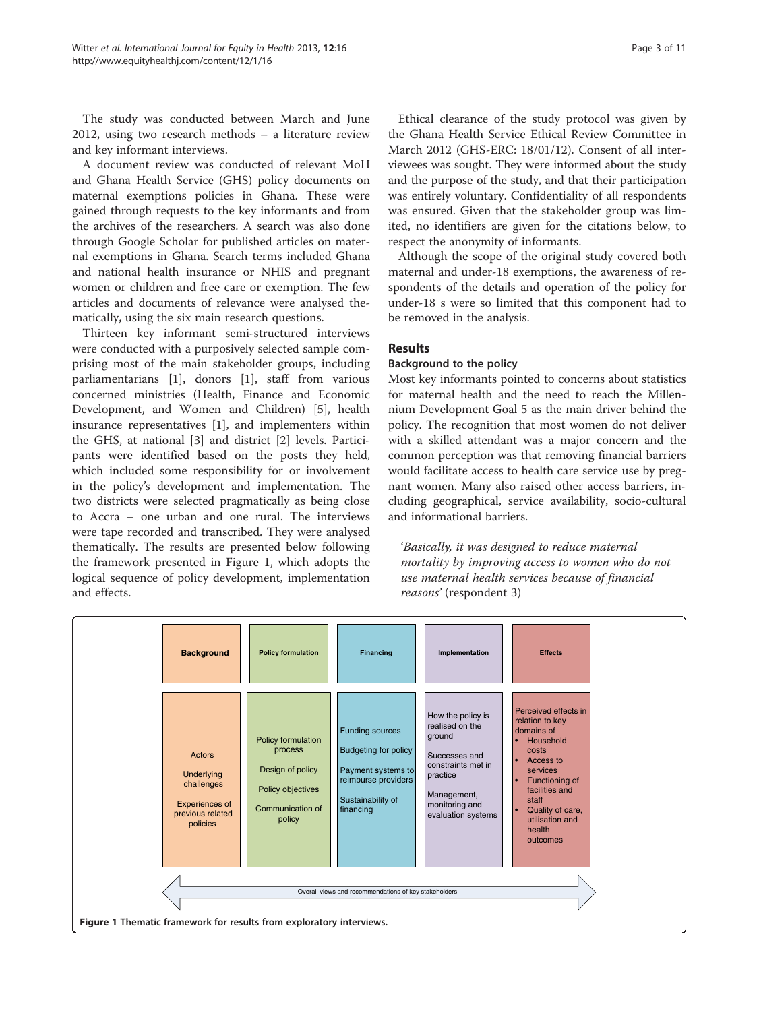The study was conducted between March and June 2012, using two research methods – a literature review and key informant interviews.

A document review was conducted of relevant MoH and Ghana Health Service (GHS) policy documents on maternal exemptions policies in Ghana. These were gained through requests to the key informants and from the archives of the researchers. A search was also done through Google Scholar for published articles on maternal exemptions in Ghana. Search terms included Ghana and national health insurance or NHIS and pregnant women or children and free care or exemption. The few articles and documents of relevance were analysed thematically, using the six main research questions.

Thirteen key informant semi-structured interviews were conducted with a purposively selected sample comprising most of the main stakeholder groups, including parliamentarians [\[1](#page-10-0)], donors [[1\]](#page-10-0), staff from various concerned ministries (Health, Finance and Economic Development, and Women and Children) [\[5\]](#page-10-0), health insurance representatives [[1](#page-10-0)], and implementers within the GHS, at national [\[3](#page-10-0)] and district [[2\]](#page-10-0) levels. Participants were identified based on the posts they held, which included some responsibility for or involvement in the policy's development and implementation. The two districts were selected pragmatically as being close to Accra – one urban and one rural. The interviews were tape recorded and transcribed. They were analysed thematically. The results are presented below following the framework presented in Figure 1, which adopts the logical sequence of policy development, implementation and effects.

Ethical clearance of the study protocol was given by the Ghana Health Service Ethical Review Committee in March 2012 (GHS-ERC: 18/01/12). Consent of all interviewees was sought. They were informed about the study and the purpose of the study, and that their participation was entirely voluntary. Confidentiality of all respondents was ensured. Given that the stakeholder group was limited, no identifiers are given for the citations below, to respect the anonymity of informants.

Although the scope of the original study covered both maternal and under-18 exemptions, the awareness of respondents of the details and operation of the policy for under-18 s were so limited that this component had to be removed in the analysis.

# Results

# Background to the policy

Most key informants pointed to concerns about statistics for maternal health and the need to reach the Millennium Development Goal 5 as the main driver behind the policy. The recognition that most women do not deliver with a skilled attendant was a major concern and the common perception was that removing financial barriers would facilitate access to health care service use by pregnant women. Many also raised other access barriers, including geographical, service availability, socio-cultural and informational barriers.

'Basically, it was designed to reduce maternal mortality by improving access to women who do not use maternal health services because of financial reasons' (respondent 3)

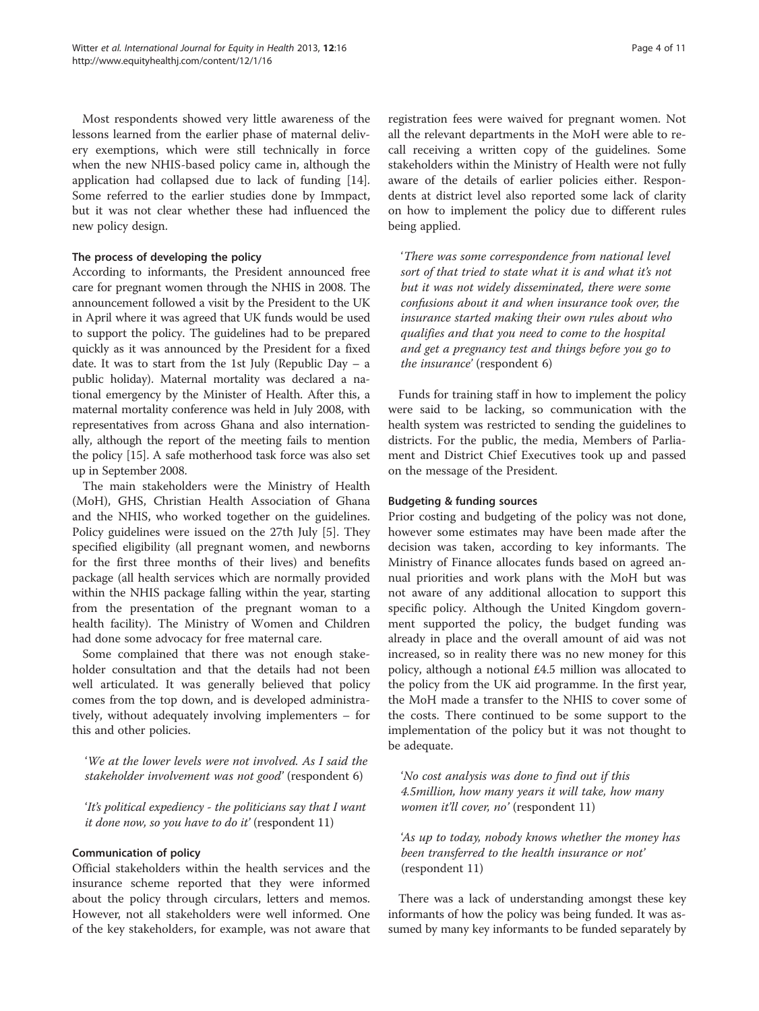Most respondents showed very little awareness of the lessons learned from the earlier phase of maternal delivery exemptions, which were still technically in force when the new NHIS-based policy came in, although the application had collapsed due to lack of funding [\[14](#page-10-0)]. Some referred to the earlier studies done by Immpact, but it was not clear whether these had influenced the new policy design.

#### The process of developing the policy

According to informants, the President announced free care for pregnant women through the NHIS in 2008. The announcement followed a visit by the President to the UK in April where it was agreed that UK funds would be used to support the policy. The guidelines had to be prepared quickly as it was announced by the President for a fixed date. It was to start from the 1st July (Republic Day – a public holiday). Maternal mortality was declared a national emergency by the Minister of Health. After this, a maternal mortality conference was held in July 2008, with representatives from across Ghana and also internationally, although the report of the meeting fails to mention the policy [\[15\]](#page-10-0). A safe motherhood task force was also set up in September 2008.

The main stakeholders were the Ministry of Health (MoH), GHS, Christian Health Association of Ghana and the NHIS, who worked together on the guidelines. Policy guidelines were issued on the 27th July [\[5\]](#page-10-0). They specified eligibility (all pregnant women, and newborns for the first three months of their lives) and benefits package (all health services which are normally provided within the NHIS package falling within the year, starting from the presentation of the pregnant woman to a health facility). The Ministry of Women and Children had done some advocacy for free maternal care.

Some complained that there was not enough stakeholder consultation and that the details had not been well articulated. It was generally believed that policy comes from the top down, and is developed administratively, without adequately involving implementers – for this and other policies.

'We at the lower levels were not involved. As I said the stakeholder involvement was not good' (respondent 6)

'It's political expediency - the politicians say that I want it done now, so you have to do it' (respondent 11)

## Communication of policy

Official stakeholders within the health services and the insurance scheme reported that they were informed about the policy through circulars, letters and memos. However, not all stakeholders were well informed. One of the key stakeholders, for example, was not aware that registration fees were waived for pregnant women. Not all the relevant departments in the MoH were able to recall receiving a written copy of the guidelines. Some stakeholders within the Ministry of Health were not fully aware of the details of earlier policies either. Respondents at district level also reported some lack of clarity on how to implement the policy due to different rules being applied.

'There was some correspondence from national level sort of that tried to state what it is and what it's not but it was not widely disseminated, there were some confusions about it and when insurance took over, the insurance started making their own rules about who qualifies and that you need to come to the hospital and get a pregnancy test and things before you go to the insurance' (respondent 6)

Funds for training staff in how to implement the policy were said to be lacking, so communication with the health system was restricted to sending the guidelines to districts. For the public, the media, Members of Parliament and District Chief Executives took up and passed on the message of the President.

#### Budgeting & funding sources

Prior costing and budgeting of the policy was not done, however some estimates may have been made after the decision was taken, according to key informants. The Ministry of Finance allocates funds based on agreed annual priorities and work plans with the MoH but was not aware of any additional allocation to support this specific policy. Although the United Kingdom government supported the policy, the budget funding was already in place and the overall amount of aid was not increased, so in reality there was no new money for this policy, although a notional £4.5 million was allocated to the policy from the UK aid programme. In the first year, the MoH made a transfer to the NHIS to cover some of the costs. There continued to be some support to the implementation of the policy but it was not thought to be adequate.

'No cost analysis was done to find out if this 4.5million, how many years it will take, how many women it'll cover, no' (respondent 11)

'As up to today, nobody knows whether the money has been transferred to the health insurance or not' (respondent 11)

There was a lack of understanding amongst these key informants of how the policy was being funded. It was assumed by many key informants to be funded separately by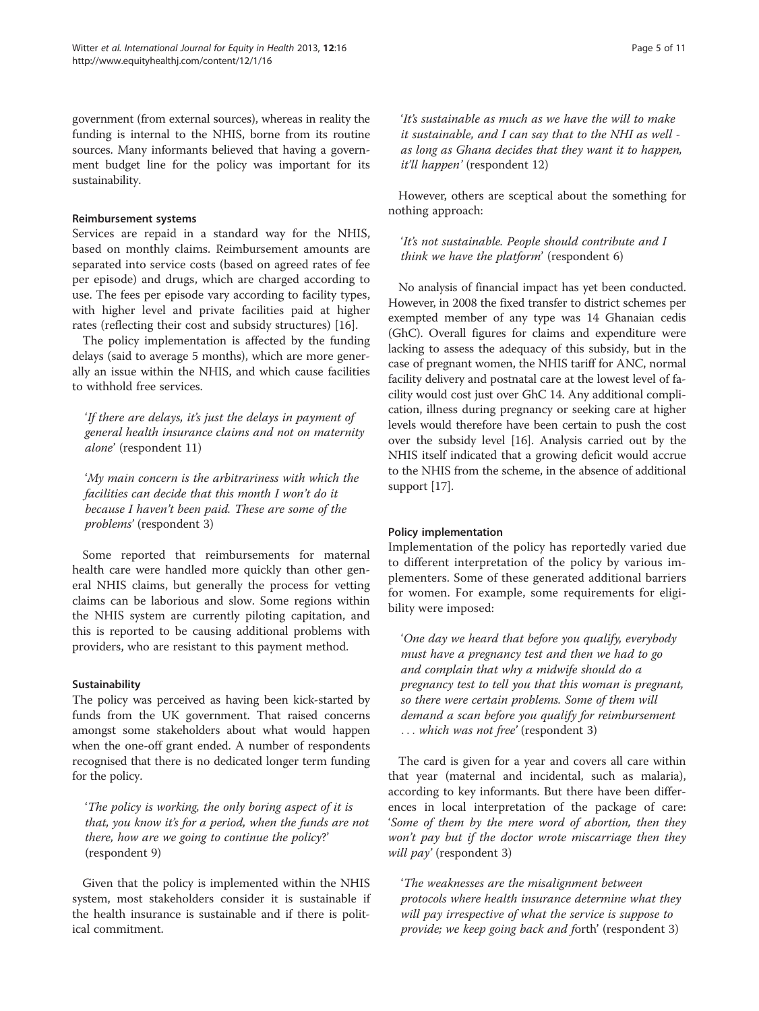government (from external sources), whereas in reality the funding is internal to the NHIS, borne from its routine sources. Many informants believed that having a government budget line for the policy was important for its sustainability.

#### Reimbursement systems

Services are repaid in a standard way for the NHIS, based on monthly claims. Reimbursement amounts are separated into service costs (based on agreed rates of fee per episode) and drugs, which are charged according to use. The fees per episode vary according to facility types, with higher level and private facilities paid at higher rates (reflecting their cost and subsidy structures) [[16\]](#page-10-0).

The policy implementation is affected by the funding delays (said to average 5 months), which are more generally an issue within the NHIS, and which cause facilities to withhold free services.

'If there are delays, it's just the delays in payment of general health insurance claims and not on maternity alone' (respondent 11)

'My main concern is the arbitrariness with which the facilities can decide that this month I won't do it because I haven't been paid. These are some of the problems' (respondent 3)

Some reported that reimbursements for maternal health care were handled more quickly than other general NHIS claims, but generally the process for vetting claims can be laborious and slow. Some regions within the NHIS system are currently piloting capitation, and this is reported to be causing additional problems with providers, who are resistant to this payment method.

#### Sustainability

The policy was perceived as having been kick-started by funds from the UK government. That raised concerns amongst some stakeholders about what would happen when the one-off grant ended. A number of respondents recognised that there is no dedicated longer term funding for the policy.

'The policy is working, the only boring aspect of it is that, you know it's for a period, when the funds are not there, how are we going to continue the policy?' (respondent 9)

Given that the policy is implemented within the NHIS system, most stakeholders consider it is sustainable if the health insurance is sustainable and if there is political commitment.

'It's sustainable as much as we have the will to make it sustainable, and I can say that to the NHI as well as long as Ghana decides that they want it to happen, it'll happen' (respondent 12)

However, others are sceptical about the something for nothing approach:

'It's not sustainable. People should contribute and I think we have the platform' (respondent 6)

No analysis of financial impact has yet been conducted. However, in 2008 the fixed transfer to district schemes per exempted member of any type was 14 Ghanaian cedis (GhC). Overall figures for claims and expenditure were lacking to assess the adequacy of this subsidy, but in the case of pregnant women, the NHIS tariff for ANC, normal facility delivery and postnatal care at the lowest level of facility would cost just over GhC 14. Any additional complication, illness during pregnancy or seeking care at higher levels would therefore have been certain to push the cost over the subsidy level [\[16\]](#page-10-0). Analysis carried out by the NHIS itself indicated that a growing deficit would accrue to the NHIS from the scheme, in the absence of additional support [\[17\]](#page-10-0).

#### Policy implementation

Implementation of the policy has reportedly varied due to different interpretation of the policy by various implementers. Some of these generated additional barriers for women. For example, some requirements for eligibility were imposed:

'One day we heard that before you qualify, everybody must have a pregnancy test and then we had to go and complain that why a midwife should do a pregnancy test to tell you that this woman is pregnant, so there were certain problems. Some of them will demand a scan before you qualify for reimbursement ... which was not free' (respondent 3)

The card is given for a year and covers all care within that year (maternal and incidental, such as malaria), according to key informants. But there have been differences in local interpretation of the package of care: 'Some of them by the mere word of abortion, then they won't pay but if the doctor wrote miscarriage then they will pay' (respondent 3)

'The weaknesses are the misalignment between protocols where health insurance determine what they will pay irrespective of what the service is suppose to provide; we keep going back and forth' (respondent 3)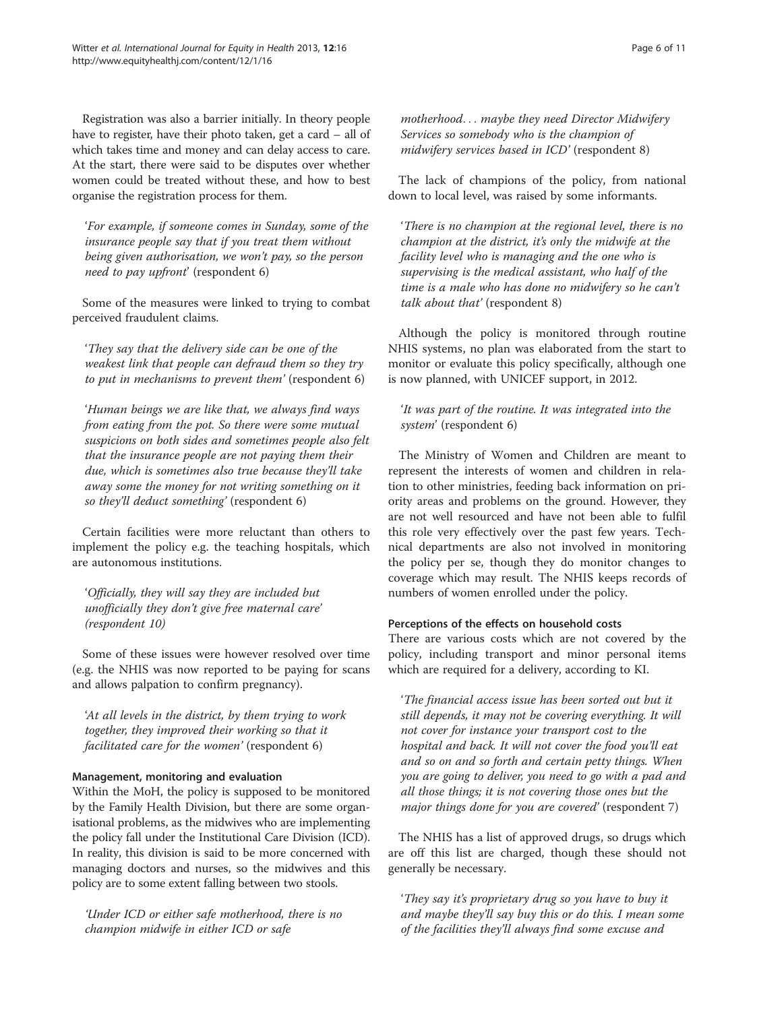Registration was also a barrier initially. In theory people have to register, have their photo taken, get a card – all of which takes time and money and can delay access to care. At the start, there were said to be disputes over whether women could be treated without these, and how to best organise the registration process for them.

'For example, if someone comes in Sunday, some of the insurance people say that if you treat them without being given authorisation, we won't pay, so the person need to pay upfront' (respondent 6)

Some of the measures were linked to trying to combat perceived fraudulent claims.

'They say that the delivery side can be one of the weakest link that people can defraud them so they try to put in mechanisms to prevent them' (respondent 6)

'Human beings we are like that, we always find ways from eating from the pot. So there were some mutual suspicions on both sides and sometimes people also felt that the insurance people are not paying them their due, which is sometimes also true because they'll take away some the money for not writing something on it so they'll deduct something' (respondent 6)

Certain facilities were more reluctant than others to implement the policy e.g. the teaching hospitals, which are autonomous institutions.

'Officially, they will say they are included but unofficially they don't give free maternal care' (respondent 10)

Some of these issues were however resolved over time (e.g. the NHIS was now reported to be paying for scans and allows palpation to confirm pregnancy).

'At all levels in the district, by them trying to work together, they improved their working so that it facilitated care for the women' (respondent 6)

# Management, monitoring and evaluation

Within the MoH, the policy is supposed to be monitored by the Family Health Division, but there are some organisational problems, as the midwives who are implementing the policy fall under the Institutional Care Division (ICD). In reality, this division is said to be more concerned with managing doctors and nurses, so the midwives and this policy are to some extent falling between two stools.

'Under ICD or either safe motherhood, there is no champion midwife in either ICD or safe

motherhood... maybe they need Director Midwifery Services so somebody who is the champion of midwifery services based in ICD' (respondent 8)

The lack of champions of the policy, from national down to local level, was raised by some informants.

'There is no champion at the regional level, there is no champion at the district, it's only the midwife at the facility level who is managing and the one who is supervising is the medical assistant, who half of the time is a male who has done no midwifery so he can't talk about that' (respondent 8)

Although the policy is monitored through routine NHIS systems, no plan was elaborated from the start to monitor or evaluate this policy specifically, although one is now planned, with UNICEF support, in 2012.

'It was part of the routine. It was integrated into the system' (respondent 6)

The Ministry of Women and Children are meant to represent the interests of women and children in relation to other ministries, feeding back information on priority areas and problems on the ground. However, they are not well resourced and have not been able to fulfil this role very effectively over the past few years. Technical departments are also not involved in monitoring the policy per se, though they do monitor changes to coverage which may result. The NHIS keeps records of numbers of women enrolled under the policy.

#### Perceptions of the effects on household costs

There are various costs which are not covered by the policy, including transport and minor personal items which are required for a delivery, according to KI.

'The financial access issue has been sorted out but it still depends, it may not be covering everything. It will not cover for instance your transport cost to the hospital and back. It will not cover the food you'll eat and so on and so forth and certain petty things. When you are going to deliver, you need to go with a pad and all those things; it is not covering those ones but the major things done for you are covered' (respondent 7)

The NHIS has a list of approved drugs, so drugs which are off this list are charged, though these should not generally be necessary.

'They say it's proprietary drug so you have to buy it and maybe they'll say buy this or do this. I mean some of the facilities they'll always find some excuse and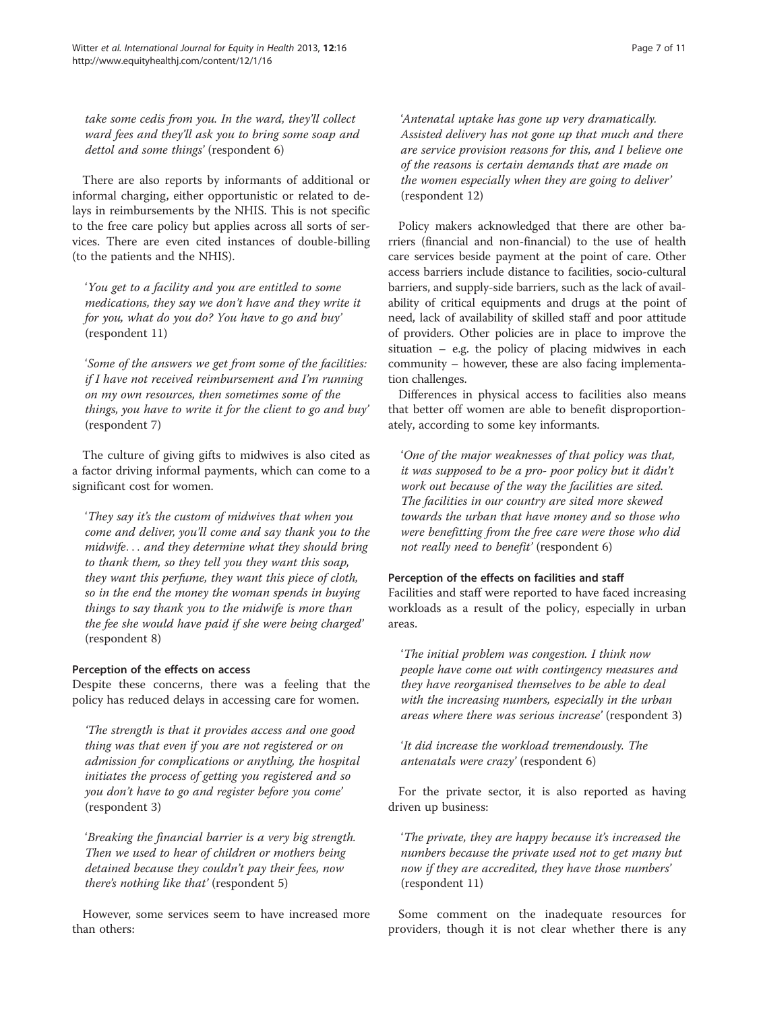take some cedis from you. In the ward, they'll collect ward fees and they'll ask you to bring some soap and dettol and some things' (respondent 6)

There are also reports by informants of additional or informal charging, either opportunistic or related to delays in reimbursements by the NHIS. This is not specific to the free care policy but applies across all sorts of services. There are even cited instances of double-billing (to the patients and the NHIS).

'You get to a facility and you are entitled to some medications, they say we don't have and they write it for you, what do you do? You have to go and buy' (respondent 11)

'Some of the answers we get from some of the facilities: if I have not received reimbursement and I'm running on my own resources, then sometimes some of the things, you have to write it for the client to go and buy' (respondent 7)

The culture of giving gifts to midwives is also cited as a factor driving informal payments, which can come to a significant cost for women.

'They say it's the custom of midwives that when you come and deliver, you'll come and say thank you to the midwife... and they determine what they should bring to thank them, so they tell you they want this soap, they want this perfume, they want this piece of cloth, so in the end the money the woman spends in buying things to say thank you to the midwife is more than the fee she would have paid if she were being charged' (respondent 8)

#### Perception of the effects on access

Despite these concerns, there was a feeling that the policy has reduced delays in accessing care for women.

'The strength is that it provides access and one good thing was that even if you are not registered or on admission for complications or anything, the hospital initiates the process of getting you registered and so you don't have to go and register before you come' (respondent 3)

'Breaking the financial barrier is a very big strength. Then we used to hear of children or mothers being detained because they couldn't pay their fees, now there's nothing like that' (respondent 5)

However, some services seem to have increased more than others:

'Antenatal uptake has gone up very dramatically. Assisted delivery has not gone up that much and there are service provision reasons for this, and I believe one of the reasons is certain demands that are made on the women especially when they are going to deliver' (respondent 12)

Policy makers acknowledged that there are other barriers (financial and non-financial) to the use of health care services beside payment at the point of care. Other access barriers include distance to facilities, socio-cultural barriers, and supply-side barriers, such as the lack of availability of critical equipments and drugs at the point of need, lack of availability of skilled staff and poor attitude of providers. Other policies are in place to improve the situation – e.g. the policy of placing midwives in each community – however, these are also facing implementation challenges.

Differences in physical access to facilities also means that better off women are able to benefit disproportionately, according to some key informants.

'One of the major weaknesses of that policy was that, it was supposed to be a pro- poor policy but it didn't work out because of the way the facilities are sited. The facilities in our country are sited more skewed towards the urban that have money and so those who were benefitting from the free care were those who did not really need to benefit' (respondent 6)

# Perception of the effects on facilities and staff

Facilities and staff were reported to have faced increasing workloads as a result of the policy, especially in urban areas.

'The initial problem was congestion. I think now people have come out with contingency measures and they have reorganised themselves to be able to deal with the increasing numbers, especially in the urban areas where there was serious increase' (respondent 3)

'It did increase the workload tremendously. The antenatals were crazy' (respondent 6)

For the private sector, it is also reported as having driven up business:

'The private, they are happy because it's increased the numbers because the private used not to get many but now if they are accredited, they have those numbers' (respondent 11)

Some comment on the inadequate resources for providers, though it is not clear whether there is any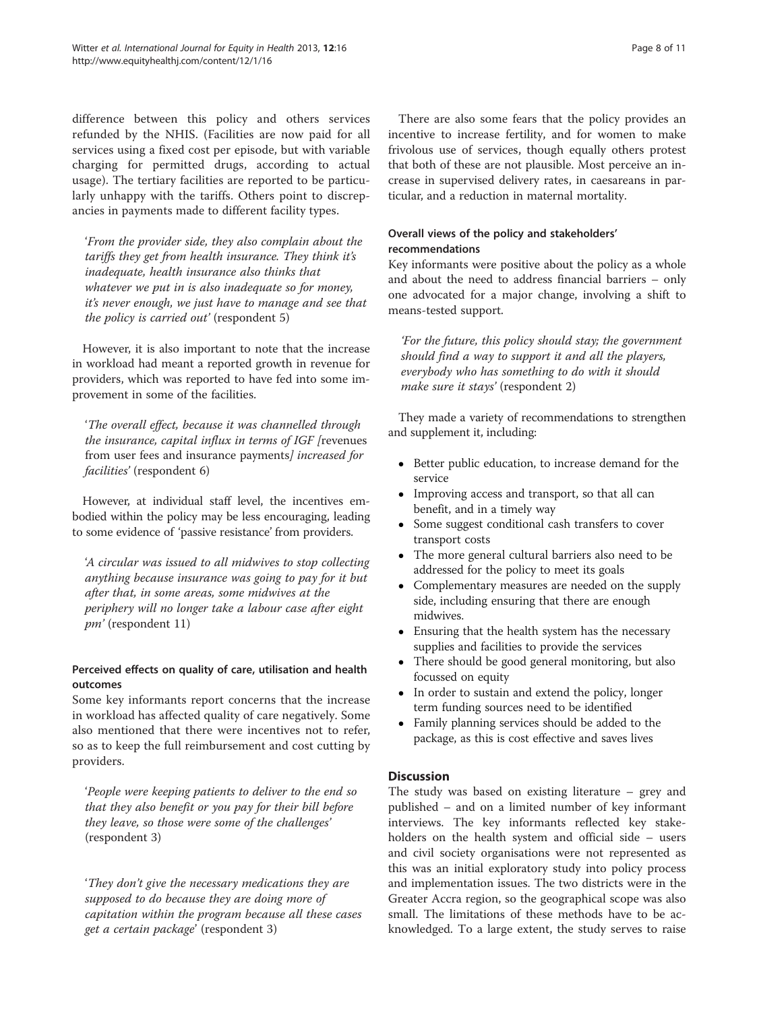difference between this policy and others services refunded by the NHIS. (Facilities are now paid for all services using a fixed cost per episode, but with variable charging for permitted drugs, according to actual usage). The tertiary facilities are reported to be particularly unhappy with the tariffs. Others point to discrepancies in payments made to different facility types.

'From the provider side, they also complain about the tariffs they get from health insurance. They think it's inadequate, health insurance also thinks that whatever we put in is also inadequate so for money, it's never enough, we just have to manage and see that the policy is carried out' (respondent 5)

However, it is also important to note that the increase in workload had meant a reported growth in revenue for providers, which was reported to have fed into some improvement in some of the facilities.

'The overall effect, because it was channelled through the insurance, capital influx in terms of IGF [revenues from user fees and insurance payments/ increased for facilities' (respondent 6)

However, at individual staff level, the incentives embodied within the policy may be less encouraging, leading to some evidence of 'passive resistance' from providers.

'A circular was issued to all midwives to stop collecting anything because insurance was going to pay for it but after that, in some areas, some midwives at the periphery will no longer take a labour case after eight pm' (respondent 11)

# Perceived effects on quality of care, utilisation and health outcomes

Some key informants report concerns that the increase in workload has affected quality of care negatively. Some also mentioned that there were incentives not to refer, so as to keep the full reimbursement and cost cutting by providers.

'People were keeping patients to deliver to the end so that they also benefit or you pay for their bill before they leave, so those were some of the challenges' (respondent 3)

'They don't give the necessary medications they are supposed to do because they are doing more of capitation within the program because all these cases get a certain package' (respondent 3)

There are also some fears that the policy provides an incentive to increase fertility, and for women to make frivolous use of services, though equally others protest that both of these are not plausible. Most perceive an increase in supervised delivery rates, in caesareans in particular, and a reduction in maternal mortality.

# Overall views of the policy and stakeholders' recommendations

Key informants were positive about the policy as a whole and about the need to address financial barriers – only one advocated for a major change, involving a shift to means-tested support.

'For the future, this policy should stay; the government should find a way to support it and all the players, everybody who has something to do with it should make sure it stays' (respondent 2)

They made a variety of recommendations to strengthen and supplement it, including:

- Better public education, to increase demand for the service
- Improving access and transport, so that all can benefit, and in a timely way
- Some suggest conditional cash transfers to cover transport costs
- The more general cultural barriers also need to be addressed for the policy to meet its goals
- Complementary measures are needed on the supply side, including ensuring that there are enough midwives.
- Ensuring that the health system has the necessary supplies and facilities to provide the services
- There should be good general monitoring, but also focussed on equity
- In order to sustain and extend the policy, longer term funding sources need to be identified
- Family planning services should be added to the package, as this is cost effective and saves lives

# **Discussion**

The study was based on existing literature – grey and published – and on a limited number of key informant interviews. The key informants reflected key stakeholders on the health system and official side – users and civil society organisations were not represented as this was an initial exploratory study into policy process and implementation issues. The two districts were in the Greater Accra region, so the geographical scope was also small. The limitations of these methods have to be acknowledged. To a large extent, the study serves to raise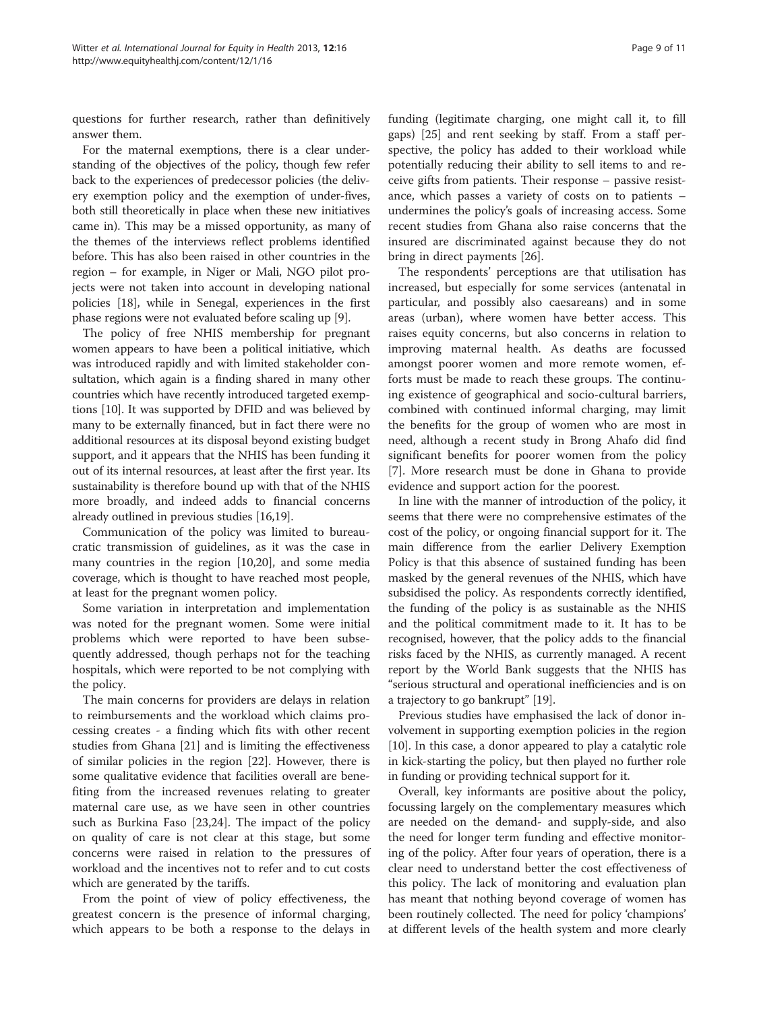questions for further research, rather than definitively answer them.

For the maternal exemptions, there is a clear understanding of the objectives of the policy, though few refer back to the experiences of predecessor policies (the delivery exemption policy and the exemption of under-fives, both still theoretically in place when these new initiatives came in). This may be a missed opportunity, as many of the themes of the interviews reflect problems identified before. This has also been raised in other countries in the region – for example, in Niger or Mali, NGO pilot projects were not taken into account in developing national policies [[18\]](#page-10-0), while in Senegal, experiences in the first phase regions were not evaluated before scaling up [\[9](#page-10-0)].

The policy of free NHIS membership for pregnant women appears to have been a political initiative, which was introduced rapidly and with limited stakeholder consultation, which again is a finding shared in many other countries which have recently introduced targeted exemptions [[10](#page-10-0)]. It was supported by DFID and was believed by many to be externally financed, but in fact there were no additional resources at its disposal beyond existing budget support, and it appears that the NHIS has been funding it out of its internal resources, at least after the first year. Its sustainability is therefore bound up with that of the NHIS more broadly, and indeed adds to financial concerns already outlined in previous studies [[16,19](#page-10-0)].

Communication of the policy was limited to bureaucratic transmission of guidelines, as it was the case in many countries in the region [[10,20\]](#page-10-0), and some media coverage, which is thought to have reached most people, at least for the pregnant women policy.

Some variation in interpretation and implementation was noted for the pregnant women. Some were initial problems which were reported to have been subsequently addressed, though perhaps not for the teaching hospitals, which were reported to be not complying with the policy.

The main concerns for providers are delays in relation to reimbursements and the workload which claims processing creates - a finding which fits with other recent studies from Ghana [\[21](#page-10-0)] and is limiting the effectiveness of similar policies in the region [[22](#page-10-0)]. However, there is some qualitative evidence that facilities overall are benefiting from the increased revenues relating to greater maternal care use, as we have seen in other countries such as Burkina Faso [[23,24\]](#page-10-0). The impact of the policy on quality of care is not clear at this stage, but some concerns were raised in relation to the pressures of workload and the incentives not to refer and to cut costs which are generated by the tariffs.

From the point of view of policy effectiveness, the greatest concern is the presence of informal charging, which appears to be both a response to the delays in funding (legitimate charging, one might call it, to fill gaps) [[25\]](#page-10-0) and rent seeking by staff. From a staff perspective, the policy has added to their workload while potentially reducing their ability to sell items to and receive gifts from patients. Their response – passive resistance, which passes a variety of costs on to patients – undermines the policy's goals of increasing access. Some recent studies from Ghana also raise concerns that the insured are discriminated against because they do not bring in direct payments [[26\]](#page-10-0).

The respondents' perceptions are that utilisation has increased, but especially for some services (antenatal in particular, and possibly also caesareans) and in some areas (urban), where women have better access. This raises equity concerns, but also concerns in relation to improving maternal health. As deaths are focussed amongst poorer women and more remote women, efforts must be made to reach these groups. The continuing existence of geographical and socio-cultural barriers, combined with continued informal charging, may limit the benefits for the group of women who are most in need, although a recent study in Brong Ahafo did find significant benefits for poorer women from the policy [[7\]](#page-10-0). More research must be done in Ghana to provide evidence and support action for the poorest.

In line with the manner of introduction of the policy, it seems that there were no comprehensive estimates of the cost of the policy, or ongoing financial support for it. The main difference from the earlier Delivery Exemption Policy is that this absence of sustained funding has been masked by the general revenues of the NHIS, which have subsidised the policy. As respondents correctly identified, the funding of the policy is as sustainable as the NHIS and the political commitment made to it. It has to be recognised, however, that the policy adds to the financial risks faced by the NHIS, as currently managed. A recent report by the World Bank suggests that the NHIS has "serious structural and operational inefficiencies and is on a trajectory to go bankrupt" [\[19\]](#page-10-0).

Previous studies have emphasised the lack of donor involvement in supporting exemption policies in the region [[10](#page-10-0)]. In this case, a donor appeared to play a catalytic role in kick-starting the policy, but then played no further role in funding or providing technical support for it.

Overall, key informants are positive about the policy, focussing largely on the complementary measures which are needed on the demand- and supply-side, and also the need for longer term funding and effective monitoring of the policy. After four years of operation, there is a clear need to understand better the cost effectiveness of this policy. The lack of monitoring and evaluation plan has meant that nothing beyond coverage of women has been routinely collected. The need for policy 'champions' at different levels of the health system and more clearly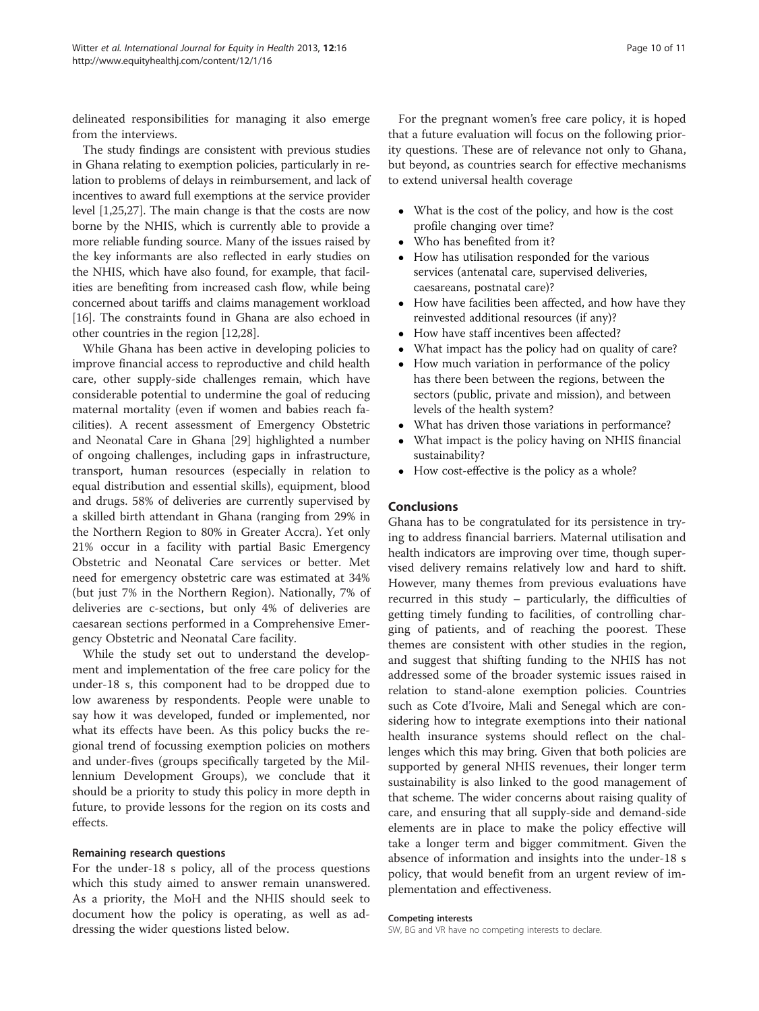delineated responsibilities for managing it also emerge from the interviews.

The study findings are consistent with previous studies in Ghana relating to exemption policies, particularly in relation to problems of delays in reimbursement, and lack of incentives to award full exemptions at the service provider level [\[1,25](#page-10-0),[27](#page-10-0)]. The main change is that the costs are now borne by the NHIS, which is currently able to provide a more reliable funding source. Many of the issues raised by the key informants are also reflected in early studies on the NHIS, which have also found, for example, that facilities are benefiting from increased cash flow, while being concerned about tariffs and claims management workload [[16](#page-10-0)]. The constraints found in Ghana are also echoed in other countries in the region [\[12,28](#page-10-0)].

While Ghana has been active in developing policies to improve financial access to reproductive and child health care, other supply-side challenges remain, which have considerable potential to undermine the goal of reducing maternal mortality (even if women and babies reach facilities). A recent assessment of Emergency Obstetric and Neonatal Care in Ghana [\[29](#page-10-0)] highlighted a number of ongoing challenges, including gaps in infrastructure, transport, human resources (especially in relation to equal distribution and essential skills), equipment, blood and drugs. 58% of deliveries are currently supervised by a skilled birth attendant in Ghana (ranging from 29% in the Northern Region to 80% in Greater Accra). Yet only 21% occur in a facility with partial Basic Emergency Obstetric and Neonatal Care services or better. Met need for emergency obstetric care was estimated at 34% (but just 7% in the Northern Region). Nationally, 7% of deliveries are c-sections, but only 4% of deliveries are caesarean sections performed in a Comprehensive Emergency Obstetric and Neonatal Care facility.

While the study set out to understand the development and implementation of the free care policy for the under-18 s, this component had to be dropped due to low awareness by respondents. People were unable to say how it was developed, funded or implemented, nor what its effects have been. As this policy bucks the regional trend of focussing exemption policies on mothers and under-fives (groups specifically targeted by the Millennium Development Groups), we conclude that it should be a priority to study this policy in more depth in future, to provide lessons for the region on its costs and effects.

#### Remaining research questions

For the under-18 s policy, all of the process questions which this study aimed to answer remain unanswered. As a priority, the MoH and the NHIS should seek to document how the policy is operating, as well as addressing the wider questions listed below.

that a future evaluation will focus on the following priority questions. These are of relevance not only to Ghana, but beyond, as countries search for effective mechanisms to extend universal health coverage

- What is the cost of the policy, and how is the cost profile changing over time?
- Who has benefited from it?
- How has utilisation responded for the various services (antenatal care, supervised deliveries, caesareans, postnatal care)?
- How have facilities been affected, and how have they reinvested additional resources (if any)?
- How have staff incentives been affected?
- What impact has the policy had on quality of care?
- How much variation in performance of the policy has there been between the regions, between the sectors (public, private and mission), and between levels of the health system?
- What has driven those variations in performance?
- What impact is the policy having on NHIS financial sustainability?
- How cost-effective is the policy as a whole?

# Conclusions

Ghana has to be congratulated for its persistence in trying to address financial barriers. Maternal utilisation and health indicators are improving over time, though supervised delivery remains relatively low and hard to shift. However, many themes from previous evaluations have recurred in this study – particularly, the difficulties of getting timely funding to facilities, of controlling charging of patients, and of reaching the poorest. These themes are consistent with other studies in the region, and suggest that shifting funding to the NHIS has not addressed some of the broader systemic issues raised in relation to stand-alone exemption policies. Countries such as Cote d'Ivoire, Mali and Senegal which are considering how to integrate exemptions into their national health insurance systems should reflect on the challenges which this may bring. Given that both policies are supported by general NHIS revenues, their longer term sustainability is also linked to the good management of that scheme. The wider concerns about raising quality of care, and ensuring that all supply-side and demand-side elements are in place to make the policy effective will take a longer term and bigger commitment. Given the absence of information and insights into the under-18 s policy, that would benefit from an urgent review of implementation and effectiveness.

#### Competing interests

SW, BG and VR have no competing interests to declare.